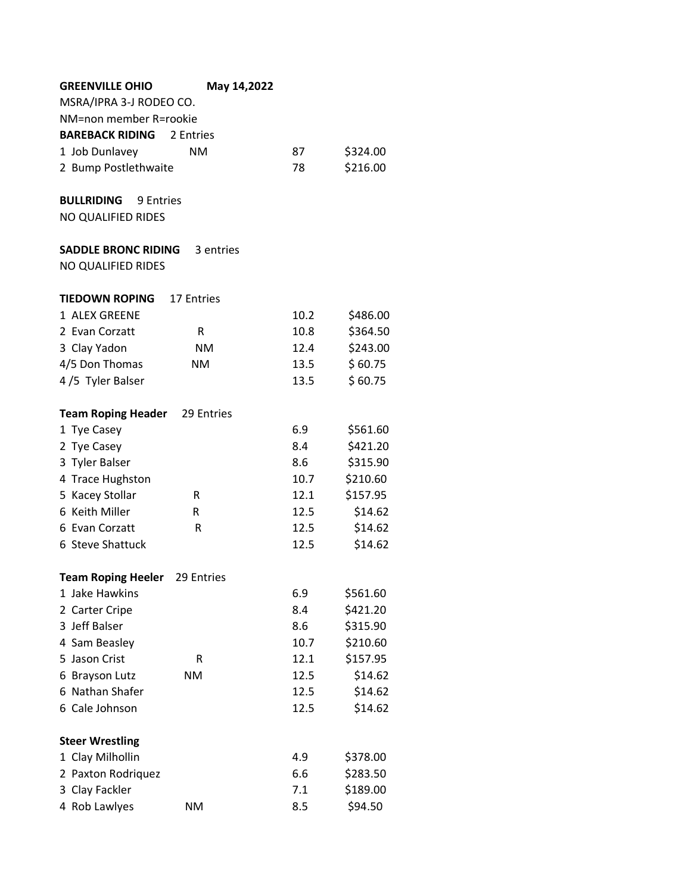| <b>GREENVILLE OHIO</b>                      | May 14,2022 |      |                      |
|---------------------------------------------|-------------|------|----------------------|
| MSRA/IPRA 3-J RODEO CO.                     |             |      |                      |
| NM=non member R=rookie                      |             |      |                      |
| <b>BAREBACK RIDING</b>                      | 2 Entries   |      |                      |
| 1 Job Dunlavey                              | <b>NM</b>   | 87   | \$324.00             |
| 2 Bump Postlethwaite                        |             | 78   | \$216.00             |
|                                             |             |      |                      |
| <b>BULLRIDING</b><br>9 Entries              |             |      |                      |
| NO QUALIFIED RIDES                          |             |      |                      |
|                                             |             |      |                      |
| <b>SADDLE BRONC RIDING</b>                  | 3 entries   |      |                      |
| NO QUALIFIED RIDES                          |             |      |                      |
|                                             |             |      |                      |
| <b>TIEDOWN ROPING</b><br>1 ALEX GREENE      | 17 Entries  | 10.2 |                      |
|                                             |             |      | \$486.00<br>\$364.50 |
| 2 Evan Corzatt                              | R           | 10.8 |                      |
| 3 Clay Yadon                                | <b>NM</b>   | 12.4 | \$243.00             |
| 4/5 Don Thomas                              | ΝM          | 13.5 | \$60.75<br>\$60.75   |
| 4/5 Tyler Balser                            |             | 13.5 |                      |
| <b>Team Roping Header</b> 29 Entries        |             |      |                      |
| 1 Tye Casey                                 |             | 6.9  | \$561.60             |
| 2 Tye Casey                                 |             | 8.4  | \$421.20             |
| 3 Tyler Balser                              |             | 8.6  | \$315.90             |
| 4 Trace Hughston                            |             | 10.7 | \$210.60             |
| 5 Kacey Stollar                             | R           | 12.1 | \$157.95             |
| 6 Keith Miller                              | R           | 12.5 | \$14.62              |
| 6 Evan Corzatt                              | R           | 12.5 | \$14.62              |
| 6 Steve Shattuck                            |             | 12.5 | \$14.62              |
|                                             |             |      |                      |
| <b>Team Roping Heeler</b><br>1 Jake Hawkins | 29 Entries  | 6.9  |                      |
| 2 Carter Cripe                              |             | 8.4  | \$561.60<br>\$421.20 |
| 3 Jeff Balser                               |             | 8.6  | \$315.90             |
| 4 Sam Beasley                               |             | 10.7 | \$210.60             |
| 5 Jason Crist                               | R           | 12.1 | \$157.95             |
| 6 Brayson Lutz                              | <b>NM</b>   | 12.5 | \$14.62              |
| 6 Nathan Shafer                             |             | 12.5 | \$14.62              |
| 6 Cale Johnson                              |             | 12.5 | \$14.62              |
|                                             |             |      |                      |
| <b>Steer Wrestling</b>                      |             |      |                      |
| 1 Clay Milhollin                            |             | 4.9  | \$378.00             |
| 2 Paxton Rodriquez                          |             | 6.6  | \$283.50             |
| 3 Clay Fackler                              |             | 7.1  | \$189.00             |
| 4 Rob Lawlyes                               | <b>NM</b>   | 8.5  | \$94.50              |